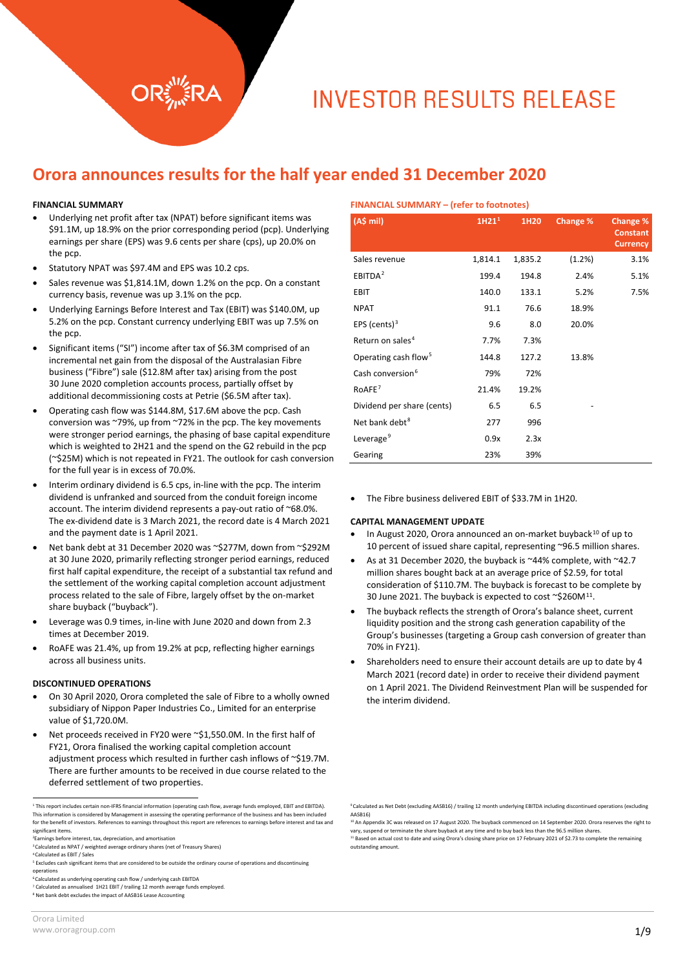## **Orora announces results for the half year ended 31 December 2020**

#### **FINANCIAL SUMMARY**

- Underlying net profit after tax (NPAT) before significant items was \$91.1M, up 18.9% on the prior corresponding period (pcp). Underlying earnings per share (EPS) was 9.6 cents per share (cps), up 20.0% on the pcp.
- Statutory NPAT was \$97.4M and EPS was 10.2 cps.
- Sales revenue was \$1,814.1M, down 1.2% on the pcp. On a constant currency basis, revenue was up 3.1% on the pcp.
- Underlying Earnings Before Interest and Tax (EBIT) was \$140.0M, up 5.2% on the pcp. Constant currency underlying EBIT was up 7.5% on the pcp.
- Significant items ("SI") income after tax of \$6.3M comprised of an incremental net gain from the disposal of the Australasian Fibre business ("Fibre") sale (\$12.8M after tax) arising from the post 30 June 2020 completion accounts process, partially offset by additional decommissioning costs at Petrie (\$6.5M after tax).
- Operating cash flow was \$144.8M, \$17.6M above the pcp. Cash conversion was ~79%, up from ~72% in the pcp. The key movements were stronger period earnings, the phasing of base capital expenditure which is weighted to 2H21 and the spend on the G2 rebuild in the pcp (~\$25M) which is not repeated in FY21. The outlook for cash conversion for the full year is in excess of 70.0%.
- Interim ordinary dividend is 6.5 cps, in-line with the pcp. The interim dividend is unfranked and sourced from the conduit foreign income account. The interim dividend represents a pay-out ratio of ~68.0%. The ex-dividend date is 3 March 2021, the record date is 4 March 2021 and the payment date is 1 April 2021.
- Net bank debt at 31 December 2020 was ~\$277M, down from ~\$292M at 30 June 2020, primarily reflecting stronger period earnings, reduced first half capital expenditure, the receipt of a substantial tax refund and the settlement of the working capital completion account adjustment process related to the sale of Fibre, largely offset by the on-market share buyback ("buyback").
- Leverage was 0.9 times, in-line with June 2020 and down from 2.3 times at December 2019.
- RoAFE was 21.4%, up from 19.2% at pcp, reflecting higher earnings across all business units.

#### **DISCONTINUED OPERATIONS**

- On 30 April 2020, Orora completed the sale of Fibre to a wholly owned subsidiary of Nippon Paper Industries Co., Limited for an enterprise value of \$1,720.0M.
- Net proceeds received in FY20 were ~\$1,550.0M. In the first half of FY21, Orora finalised the working capital completion account adjustment process which resulted in further cash inflows of ~\$19.7M. There are further amounts to be received in due course related to the deferred settlement of two properties.

<span id="page-0-5"></span><sup>7</sup> Calculated as annualised 1H21 EBIT / trailing 12 month average funds employed.

| <b>FINANCIAL SUMMARY - (refer to footnotes)</b> |                   |         |          |                                                |
|-------------------------------------------------|-------------------|---------|----------|------------------------------------------------|
| (A\$ mi)                                        | 1H21 <sup>1</sup> | 1H20    | Change % | Change %<br><b>Constant</b><br><b>Currency</b> |
| Sales revenue                                   | 1,814.1           | 1,835.2 | (1.2%)   | 3.1%                                           |
| EBITDA <sup>2</sup>                             | 199.4             | 194.8   | 2.4%     | 5.1%                                           |
| <b>EBIT</b>                                     | 140.0             | 133.1   | 5.2%     | 7.5%                                           |
| <b>NPAT</b>                                     | 91.1              | 76.6    | 18.9%    |                                                |
| EPS (cents) $3$                                 | 9.6               | 8.0     | 20.0%    |                                                |
| Return on sales <sup>4</sup>                    | 7.7%              | 7.3%    |          |                                                |
| Operating cash flow <sup>5</sup>                | 144.8             | 127.2   | 13.8%    |                                                |
| Cash conversion <sup>6</sup>                    | 79%               | 72%     |          |                                                |
| RoAFE <sup>7</sup>                              | 21.4%             | 19.2%   |          |                                                |
| Dividend per share (cents)                      | 6.5               | 6.5     |          |                                                |
| Net bank debt <sup>8</sup>                      | 277               | 996     |          |                                                |
| Leverage <sup>9</sup>                           | 0.9x              | 2.3x    |          |                                                |
| Gearing                                         | 23%               | 39%     |          |                                                |

• The Fibre business delivered EBIT of \$33.7M in 1H20.

#### **CAPITAL MANAGEMENT UPDATE**

- In August 2020, Orora announced an on-market buyback<sup>[10](#page-0-8)</sup> of up to 10 percent of issued share capital, representing ~96.5 million shares.
- As at 31 December 2020, the buyback is ~44% complete, with ~42.7 million shares bought back at an average price of \$2.59, for total consideration of \$110.7M. The buyback is forecast to be complete by 30 June 2021. The buyback is expected to cost ~\$260M<sup>[11](#page-0-1)</sup>.
- The buyback reflects the strength of Orora's balance sheet, current liquidity position and the strong cash generation capability of the Group's businesses (targeting a Group cash conversion of greater than 70% in FY21).
- Shareholders need to ensure their account details are up to date by 4 March 2021 (record date) in order to receive their dividend payment on 1 April 2021. The Dividend Reinvestment Plan will be suspended for the interim dividend.

<span id="page-0-0"></span><sup>1</sup> This report includes certain non-IFRS financial information (operating cash flow, average funds employed, EBIT and EBITDA). This information is considered by Management in assessing the operating performance of the business and has been included for the benefit of investors. References to earnings throughout this report are references to earnings before interest and tax and significant items.

<span id="page-0-8"></span><span id="page-0-1"></span><sup>2</sup>Earnings before interest, tax, depreciation, and amortisation

<span id="page-0-2"></span><sup>3</sup>Calculated as NPAT / weighted average ordinary shares (net of Treasury Shares) 4Calculated as EBIT / Sales

<span id="page-0-4"></span><span id="page-0-3"></span><sup>&</sup>lt;sup>5</sup> Excludes cash significant items that are considered to be outside the ordinary course of operations and discontinuing operations 6Calculated as underlying operating cash flow / underlying cash EBITDA

<span id="page-0-7"></span><span id="page-0-6"></span><sup>8</sup> Net bank debt excludes the impact of AASB16 Lease Accounting

<sup>9</sup>Calculated as Net Debt (excluding AASB16) / trailing 12 month underlying EBITDA including discontinued operations (excluding AASB16)

<sup>&</sup>lt;sup>10</sup> An Appendix 3C was released on 17 August 2020. The buyback commenced on 14 September 2020. Orora reserves the right to vary, suspend or terminate the share buyback at any time and to buy back less than the 96.5 million shares. <sup>11</sup> Based on actual cost to date and using Orora's closing share price on 17 February 2021 of \$2.73 to complete the remaining outstanding amount.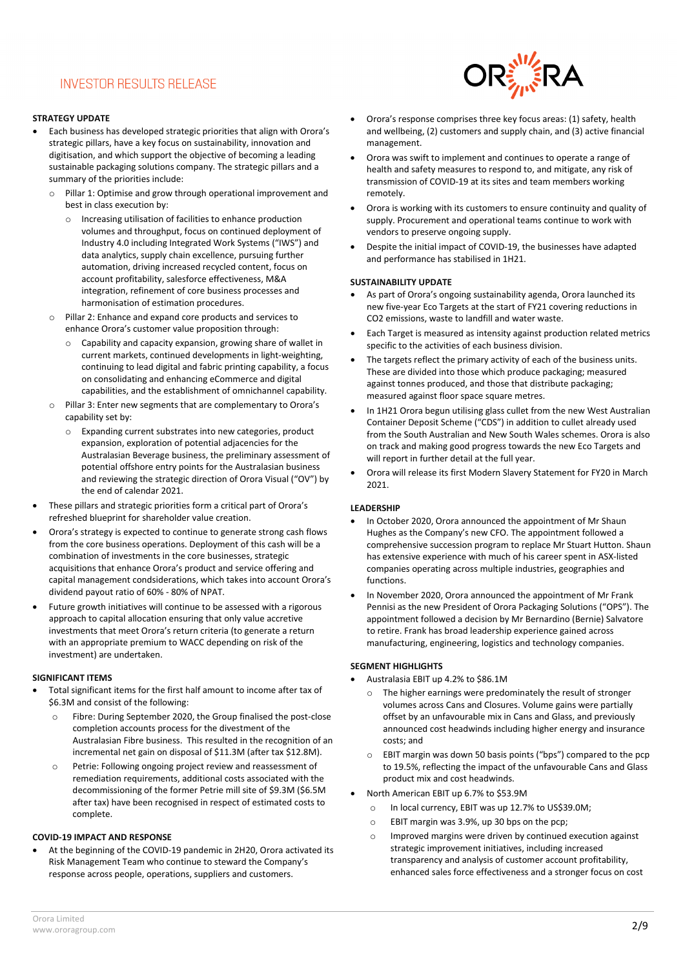#### **STRATEGY UPDATE**

- Each business has developed strategic priorities that align with Orora's strategic pillars, have a key focus on sustainability, innovation and digitisation, and which support the objective of becoming a leading sustainable packaging solutions company. The strategic pillars and a summary of the priorities include:
	- o Pillar 1: Optimise and grow through operational improvement and best in class execution by:
		- o Increasing utilisation of facilities to enhance production volumes and throughput, focus on continued deployment of Industry 4.0 including Integrated Work Systems ("IWS") and data analytics, supply chain excellence, pursuing further automation, driving increased recycled content, focus on account profitability, salesforce effectiveness, M&A integration, refinement of core business processes and harmonisation of estimation procedures.
	- o Pillar 2: Enhance and expand core products and services to enhance Orora's customer value proposition through:
		- o Capability and capacity expansion, growing share of wallet in current markets, continued developments in light-weighting, continuing to lead digital and fabric printing capability, a focus on consolidating and enhancing eCommerce and digital capabilities, and the establishment of omnichannel capability.
	- o Pillar 3: Enter new segments that are complementary to Orora's capability set by:
		- o Expanding current substrates into new categories, product expansion, exploration of potential adjacencies for the Australasian Beverage business, the preliminary assessment of potential offshore entry points for the Australasian business and reviewing the strategic direction of Orora Visual ("OV") by the end of calendar 2021.
- These pillars and strategic priorities form a critical part of Orora's refreshed blueprint for shareholder value creation.
- Orora's strategy is expected to continue to generate strong cash flows from the core business operations. Deployment of this cash will be a combination of investments in the core businesses, strategic acquisitions that enhance Orora's product and service offering and capital management condsiderations, which takes into account Orora's dividend payout ratio of 60% - 80% of NPAT.
- Future growth initiatives will continue to be assessed with a rigorous approach to capital allocation ensuring that only value accretive investments that meet Orora's return criteria (to generate a return with an appropriate premium to WACC depending on risk of the investment) are undertaken.

#### **SIGNIFICANT ITEMS**

- Total significant items for the first half amount to income after tax of \$6.3M and consist of the following:
	- Fibre: During September 2020, the Group finalised the post-close completion accounts process for the divestment of the Australasian Fibre business. This resulted in the recognition of an incremental net gain on disposal of \$11.3M (after tax \$12.8M).
	- o Petrie: Following ongoing project review and reassessment of remediation requirements, additional costs associated with the decommissioning of the former Petrie mill site of \$9.3M (\$6.5M after tax) have been recognised in respect of estimated costs to complete.

#### **COVID-19 IMPACT AND RESPONSE**

• At the beginning of the COVID-19 pandemic in 2H20, Orora activated its Risk Management Team who continue to steward the Company's response across people, operations, suppliers and customers.



- Orora's response comprises three key focus areas: (1) safety, health and wellbeing, (2) customers and supply chain, and (3) active financial management.
- Orora was swift to implement and continues to operate a range of health and safety measures to respond to, and mitigate, any risk of transmission of COVID-19 at its sites and team members working remotely.
- Orora is working with its customers to ensure continuity and quality of supply. Procurement and operational teams continue to work with vendors to preserve ongoing supply.
- Despite the initial impact of COVID-19, the businesses have adapted and performance has stabilised in 1H21.

#### **SUSTAINABILITY UPDATE**

- As part of Orora's ongoing sustainability agenda, Orora launched its new five-year Eco Targets at the start of FY21 covering reductions in CO2 emissions, waste to landfill and water waste.
- Each Target is measured as intensity against production related metrics specific to the activities of each business division.
- The targets reflect the primary activity of each of the business units. These are divided into those which produce packaging; measured against tonnes produced, and those that distribute packaging; measured against floor space square metres.
- In 1H21 Orora begun utilising glass cullet from the new West Australian Container Deposit Scheme ("CDS") in addition to cullet already used from the South Australian and New South Wales schemes. Orora is also on track and making good progress towards the new Eco Targets and will report in further detail at the full year.
- Orora will release its first Modern Slavery Statement for FY20 in March 2021.

#### **LEADERSHIP**

- In October 2020, Orora announced the appointment of Mr Shaun Hughes as the Company's new CFO. The appointment followed a comprehensive succession program to replace Mr Stuart Hutton. Shaun has extensive experience with much of his career spent in ASX-listed companies operating across multiple industries, geographies and functions.
- In November 2020, Orora announced the appointment of Mr Frank Pennisi as the new President of Orora Packaging Solutions ("OPS"). The appointment followed a decision by Mr Bernardino (Bernie) Salvatore to retire. Frank has broad leadership experience gained across manufacturing, engineering, logistics and technology companies.

#### **SEGMENT HIGHLIGHTS**

- Australasia EBIT up 4.2% to \$86.1M
- o The higher earnings were predominately the result of stronger volumes across Cans and Closures. Volume gains were partially offset by an unfavourable mix in Cans and Glass, and previously announced cost headwinds including higher energy and insurance costs; and
- o EBIT margin was down 50 basis points ("bps") compared to the pcp to 19.5%, reflecting the impact of the unfavourable Cans and Glass product mix and cost headwinds.
- North American EBIT up 6.7% to \$53.9M
	- o In local currency, EBIT was up 12.7% to US\$39.0M;
	- o EBIT margin was 3.9%, up 30 bps on the pcp;
	- o Improved margins were driven by continued execution against strategic improvement initiatives, including increased transparency and analysis of customer account profitability, enhanced sales force effectiveness and a stronger focus on cost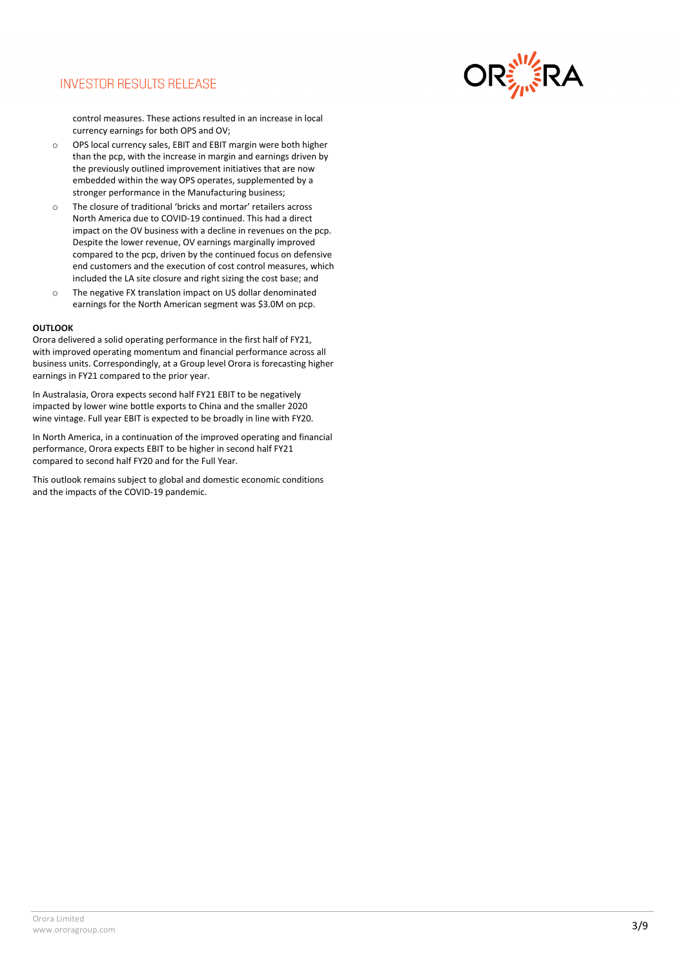

control measures. These actions resulted in an increase in local currency earnings for both OPS and OV;

- o OPS local currency sales, EBIT and EBIT margin were both higher than the pcp, with the increase in margin and earnings driven by the previously outlined improvement initiatives that are now embedded within the way OPS operates, supplemented by a stronger performance in the Manufacturing business;
- o The closure of traditional 'bricks and mortar' retailers across North America due to COVID-19 continued. This had a direct impact on the OV business with a decline in revenues on the pcp. Despite the lower revenue, OV earnings marginally improved compared to the pcp, driven by the continued focus on defensive end customers and the execution of cost control measures, which included the LA site closure and right sizing the cost base; and
- o The negative FX translation impact on US dollar denominated earnings for the North American segment was \$3.0M on pcp.

#### **OUTLOOK**

Orora delivered a solid operating performance in the first half of FY21, with improved operating momentum and financial performance across all business units. Correspondingly, at a Group level Orora is forecasting higher earnings in FY21 compared to the prior year.

In Australasia, Orora expects second half FY21 EBIT to be negatively impacted by lower wine bottle exports to China and the smaller 2020 wine vintage. Full year EBIT is expected to be broadly in line with FY20.

In North America, in a continuation of the improved operating and financial performance, Orora expects EBIT to be higher in second half FY21 compared to second half FY20 and for the Full Year.

This outlook remains subject to global and domestic economic conditions and the impacts of the COVID-19 pandemic.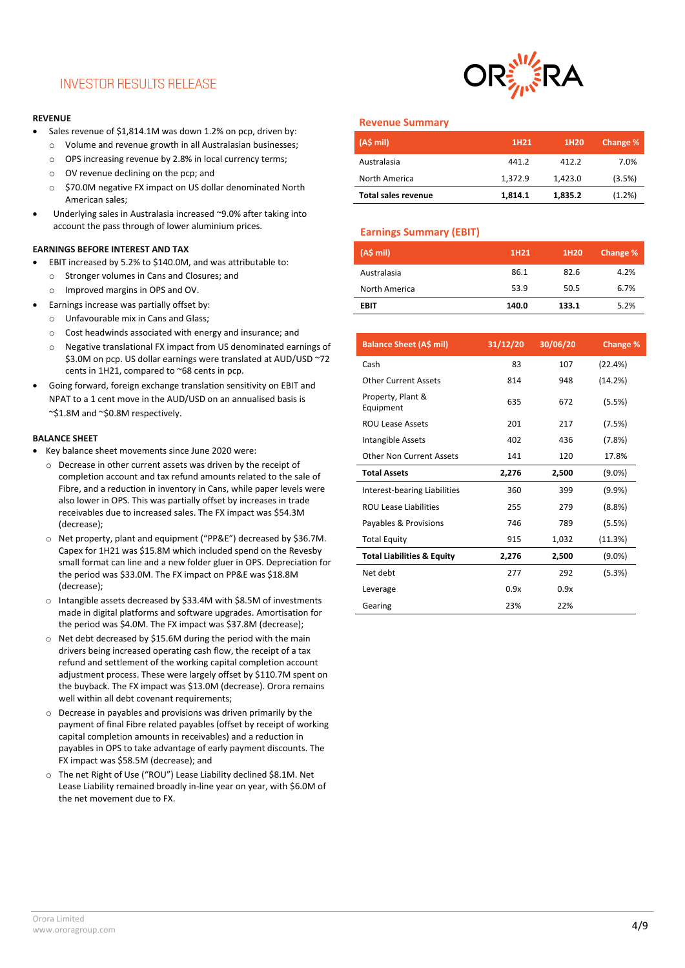#### **REVENUE**

- Sales revenue of \$1,814.1M was down 1.2% on pcp, driven by:
	- o Volume and revenue growth in all Australasian businesses;
	- o OPS increasing revenue by 2.8% in local currency terms;
	- o OV revenue declining on the pcp; and
	- o \$70.0M negative FX impact on US dollar denominated North American sales;
- Underlying sales in Australasia increased ~9.0% after taking into account the pass through of lower aluminium prices.

#### **EARNINGS BEFORE INTEREST AND TAX**

- EBIT increased by 5.2% to \$140.0M, and was attributable to:
	- o Stronger volumes in Cans and Closures; and
	- o Improved margins in OPS and OV.
- Earnings increase was partially offset by:
	- o Unfavourable mix in Cans and Glass;
	- o Cost headwinds associated with energy and insurance; and
	- o Negative translational FX impact from US denominated earnings of \$3.0M on pcp. US dollar earnings were translated at AUD/USD ~72 cents in 1H21, compared to ~68 cents in pcp.
- Going forward, foreign exchange translation sensitivity on EBIT and NPAT to a 1 cent move in the AUD/USD on an annualised basis is ~\$1.8M and ~\$0.8M respectively.

#### **BALANCE SHEET**

- Key balance sheet movements since June 2020 were:
	- o Decrease in other current assets was driven by the receipt of completion account and tax refund amounts related to the sale of Fibre, and a reduction in inventory in Cans, while paper levels were also lower in OPS. This was partially offset by increases in trade receivables due to increased sales. The FX impact was \$54.3M (decrease);
	- o Net property, plant and equipment ("PP&E") decreased by \$36.7M. Capex for 1H21 was \$15.8M which included spend on the Revesby small format can line and a new folder gluer in OPS. Depreciation for the period was \$33.0M. The FX impact on PP&E was \$18.8M (decrease);
	- o Intangible assets decreased by \$33.4M with \$8.5M of investments made in digital platforms and software upgrades. Amortisation for the period was \$4.0M. The FX impact was \$37.8M (decrease);
	- o Net debt decreased by \$15.6M during the period with the main drivers being increased operating cash flow, the receipt of a tax refund and settlement of the working capital completion account adjustment process. These were largely offset by \$110.7M spent on the buyback. The FX impact was \$13.0M (decrease). Orora remains well within all debt covenant requirements;
	- o Decrease in payables and provisions was driven primarily by the payment of final Fibre related payables (offset by receipt of working capital completion amounts in receivables) and a reduction in payables in OPS to take advantage of early payment discounts. The FX impact was \$58.5M (decrease); and
	- o The net Right of Use ("ROU") Lease Liability declined \$8.1M. Net Lease Liability remained broadly in-line year on year, with \$6.0M of the net movement due to FX.



#### **Revenue Summary**

| (AS mil)                   | 1H <sub>21</sub> | 1H <sub>20</sub> | Change % |
|----------------------------|------------------|------------------|----------|
| Australasia                | 441.2            | 412.2            | 7.0%     |
| North America              | 1.372.9          | 1.423.0          | (3.5%)   |
| <b>Total sales revenue</b> | 1,814.1          | 1,835.2          | (1.2%)   |

#### **Earnings Summary (EBIT)**

| (A\$ mi)      | 1H21  | 1H20  | Change % |
|---------------|-------|-------|----------|
| Australasia   | 86.1  | 82.6  | 4.2%     |
| North America | 53.9  | 50.5  | 6.7%     |
| <b>EBIT</b>   | 140.0 | 133.1 | 5.2%     |

| <b>Balance Sheet (A\$ mil)</b>        | 31/12/20 | 30/06/20 | Change %  |
|---------------------------------------|----------|----------|-----------|
| Cash                                  | 83       | 107      | (22.4%)   |
| <b>Other Current Assets</b>           | 814      | 948      | (14.2%)   |
| Property, Plant &<br>Equipment        | 635      | 672      | (5.5%)    |
| <b>ROU Lease Assets</b>               | 201      | 217      | (7.5%)    |
| Intangible Assets                     | 402      | 436      | (7.8%)    |
| Other Non Current Assets              | 141      | 120      | 17.8%     |
| <b>Total Assets</b>                   | 2,276    | 2,500    | $(9.0\%)$ |
| Interest-bearing Liabilities          | 360      | 399      | (9.9%     |
| <b>ROU Lease Liabilities</b>          | 255      | 279      | (8.8%)    |
| Payables & Provisions                 | 746      | 789      | (5.5%)    |
| <b>Total Equity</b>                   | 915      | 1,032    | (11.3%)   |
| <b>Total Liabilities &amp; Equity</b> | 2,276    | 2,500    | $(9.0\%)$ |
| Net debt                              | 277      | 292      | (5.3%)    |
| Leverage                              | 0.9x     | 0.9x     |           |
| Gearing                               | 23%      | 22%      |           |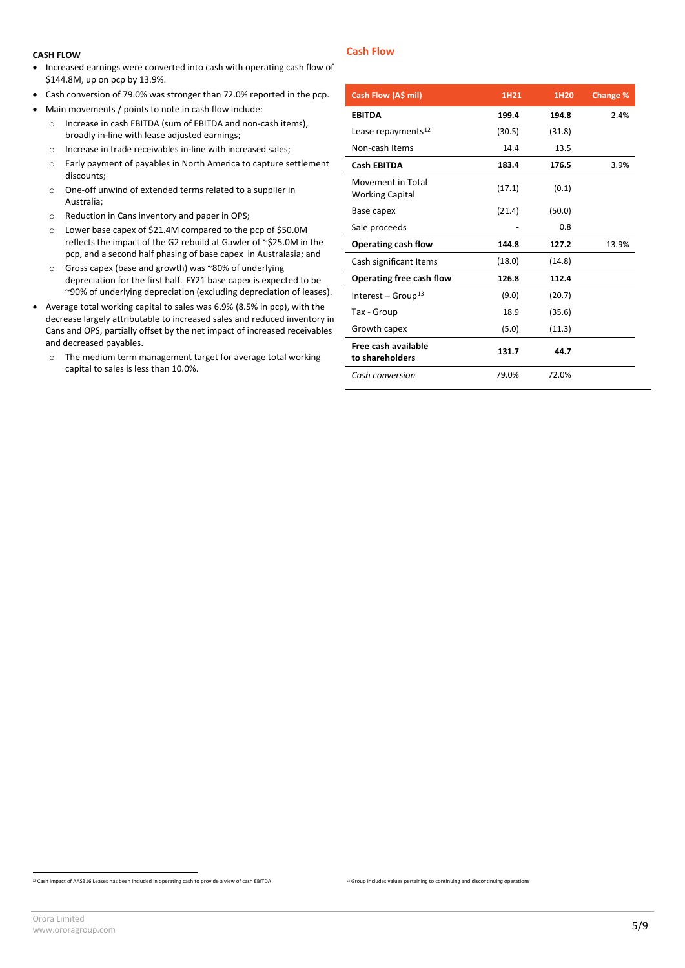#### **CASH FLOW**

- Increased earnings were converted into cash with operating cash flow of \$144.8M, up on pcp by 13.9%.
- Cash conversion of 79.0% was stronger than 72.0% reported in the pcp.
- Main movements / points to note in cash flow include:
	- o Increase in cash EBITDA (sum of EBITDA and non-cash items), broadly in-line with lease adjusted earnings;
	- o Increase in trade receivables in-line with increased sales;
	- o Early payment of payables in North America to capture settlement discounts;
	- o One-off unwind of extended terms related to a supplier in Australia;
	- o Reduction in Cans inventory and paper in OPS;
	- o Lower base capex of \$21.4M compared to the pcp of \$50.0M reflects the impact of the G2 rebuild at Gawler of ~\$25.0M in the pcp, and a second half phasing of base capex in Australasia; and
	- o Gross capex (base and growth) was ~80% of underlying depreciation for the first half. FY21 base capex is expected to be ~90% of underlying depreciation (excluding depreciation of leases).
- Average total working capital to sales was 6.9% (8.5% in pcp), with the decrease largely attributable to increased sales and reduced inventory in Cans and OPS, partially offset by the net impact of increased receivables and decreased payables.
	- o The medium term management target for average total working capital to sales is less than 10.0%.

#### **Cash Flow**

| Cash Flow (A\$ mil)                         | 1H21   | 1H20   | Change % |
|---------------------------------------------|--------|--------|----------|
| <b>EBITDA</b>                               | 199.4  | 194.8  | 2.4%     |
| Lease repayments <sup>12</sup>              | (30.5) | (31.8) |          |
| Non-cash Items                              | 14.4   | 13.5   |          |
| <b>Cash EBITDA</b>                          | 183.4  | 176.5  | 3.9%     |
| Movement in Total<br><b>Working Capital</b> | (17.1) | (0.1)  |          |
| Base capex                                  | (21.4) | (50.0) |          |
| Sale proceeds                               |        | 0.8    |          |
| Operating cash flow                         | 144.8  | 127.2  | 13.9%    |
| Cash significant Items                      | (18.0) | (14.8) |          |
| Operating free cash flow                    | 126.8  | 112.4  |          |
| Interest – Group <sup>13</sup>              | (9.0)  | (20.7) |          |
| Tax - Group                                 | 18.9   | (35.6) |          |
| Growth capex                                | (5.0)  | (11.3) |          |
| Free cash available<br>to shareholders      | 131.7  | 44.7   |          |
| Cash conversion                             | 79.0%  | 72.0%  |          |

<span id="page-4-0"></span><sup>12</sup> Cash impact of AASB16 Leases has been included in operating cash to provide a view of cash EBITDA

<sup>&</sup>lt;sup>13</sup> Group includes values pertaining to continuing and discontinuing operations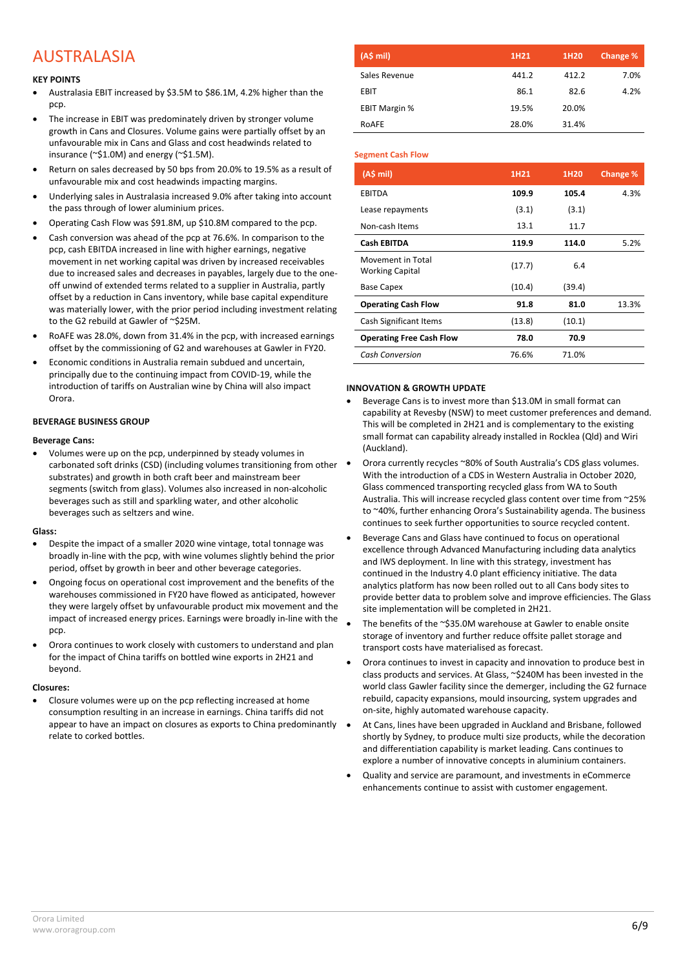## AUSTRALASIA

#### **KEY POINTS**

- Australasia EBIT increased by \$3.5M to \$86.1M, 4.2% higher than the pcp.
- The increase in EBIT was predominately driven by stronger volume growth in Cans and Closures. Volume gains were partially offset by an unfavourable mix in Cans and Glass and cost headwinds related to insurance (~\$1.0M) and energy (~\$1.5M).
- Return on sales decreased by 50 bps from 20.0% to 19.5% as a result of unfavourable mix and cost headwinds impacting margins.
- Underlying sales in Australasia increased 9.0% after taking into account the pass through of lower aluminium prices.
- Operating Cash Flow was \$91.8M, up \$10.8M compared to the pcp.
- Cash conversion was ahead of the pcp at 76.6%. In comparison to the pcp, cash EBITDA increased in line with higher earnings, negative movement in net working capital was driven by increased receivables due to increased sales and decreases in payables, largely due to the oneoff unwind of extended terms related to a supplier in Australia, partly offset by a reduction in Cans inventory, while base capital expenditure was materially lower, with the prior period including investment relating to the G2 rebuild at Gawler of ~\$25M.
- RoAFE was 28.0%, down from 31.4% in the pcp, with increased earnings offset by the commissioning of G2 and warehouses at Gawler in FY20.
- Economic conditions in Australia remain subdued and uncertain, principally due to the continuing impact from COVID-19, while the introduction of tariffs on Australian wine by China will also impact Orora.

#### **BEVERAGE BUSINESS GROUP**

#### **Beverage Cans:**

• Volumes were up on the pcp, underpinned by steady volumes in carbonated soft drinks (CSD) (including volumes transitioning from other substrates) and growth in both craft beer and mainstream beer segments (switch from glass). Volumes also increased in non-alcoholic beverages such as still and sparkling water, and other alcoholic beverages such as seltzers and wine.

#### **Glass:**

- Despite the impact of a smaller 2020 wine vintage, total tonnage was broadly in-line with the pcp, with wine volumes slightly behind the prior period, offset by growth in beer and other beverage categories.
- Ongoing focus on operational cost improvement and the benefits of the warehouses commissioned in FY20 have flowed as anticipated, however they were largely offset by unfavourable product mix movement and the impact of increased energy prices. Earnings were broadly in-line with the pcp.
- Orora continues to work closely with customers to understand and plan for the impact of China tariffs on bottled wine exports in 2H21 and beyond.

#### **Closures:**

• Closure volumes were up on the pcp reflecting increased at home consumption resulting in an increase in earnings. China tariffs did not appear to have an impact on closures as exports to China predominantly relate to corked bottles.

| (A\$ mi)             | 1H <sub>21</sub> | 1H20  | Change % |
|----------------------|------------------|-------|----------|
| Sales Revenue        | 441.2            | 412.2 | 7.0%     |
| EBIT                 | 86.1             | 82.6  | 4.2%     |
| <b>EBIT Margin %</b> | 19.5%            | 20.0% |          |
| ROAFE                | 28.0%            | 31.4% |          |

#### **Segment Cash Flow**

| (AS mil)                                    | 1H21   | 1H20   | <b>Change %</b> |
|---------------------------------------------|--------|--------|-----------------|
| <b>EBITDA</b>                               | 109.9  | 105.4  | 4.3%            |
| Lease repayments                            | (3.1)  | (3.1)  |                 |
| Non-cash Items                              | 13.1   | 11.7   |                 |
| Cash EBITDA                                 | 119.9  | 114.0  | 5.2%            |
| Movement in Total<br><b>Working Capital</b> | (17.7) | 6.4    |                 |
| <b>Base Capex</b>                           | (10.4) | (39.4) |                 |
| <b>Operating Cash Flow</b>                  | 91.8   | 81.0   | 13.3%           |
| Cash Significant Items                      | (13.8) | (10.1) |                 |
| <b>Operating Free Cash Flow</b>             | 78.0   | 70.9   |                 |
| <b>Cash Conversion</b>                      | 76.6%  | 71.0%  |                 |

#### **INNOVATION & GROWTH UPDATE**

- Beverage Cans is to invest more than \$13.0M in small format can capability at Revesby (NSW) to meet customer preferences and demand. This will be completed in 2H21 and is complementary to the existing small format can capability already installed in Rocklea (Qld) and Wiri (Auckland).
- Orora currently recycles ~80% of South Australia's CDS glass volumes. With the introduction of a CDS in Western Australia in October 2020, Glass commenced transporting recycled glass from WA to South Australia. This will increase recycled glass content over time from ~25% to ~40%, further enhancing Orora's Sustainability agenda. The business continues to seek further opportunities to source recycled content.
- Beverage Cans and Glass have continued to focus on operational excellence through Advanced Manufacturing including data analytics and IWS deployment. In line with this strategy, investment has continued in the Industry 4.0 plant efficiency initiative. The data analytics platform has now been rolled out to all Cans body sites to provide better data to problem solve and improve efficiencies. The Glass site implementation will be completed in 2H21.
- The benefits of the ~\$35.0M warehouse at Gawler to enable onsite storage of inventory and further reduce offsite pallet storage and transport costs have materialised as forecast.
- Orora continues to invest in capacity and innovation to produce best in class products and services. At Glass, ~\$240M has been invested in the world class Gawler facility since the demerger, including the G2 furnace rebuild, capacity expansions, mould insourcing, system upgrades and on-site, highly automated warehouse capacity.
- At Cans, lines have been upgraded in Auckland and Brisbane, followed shortly by Sydney, to produce multi size products, while the decoration and differentiation capability is market leading. Cans continues to explore a number of innovative concepts in aluminium containers.
- Quality and service are paramount, and investments in eCommerce enhancements continue to assist with customer engagement.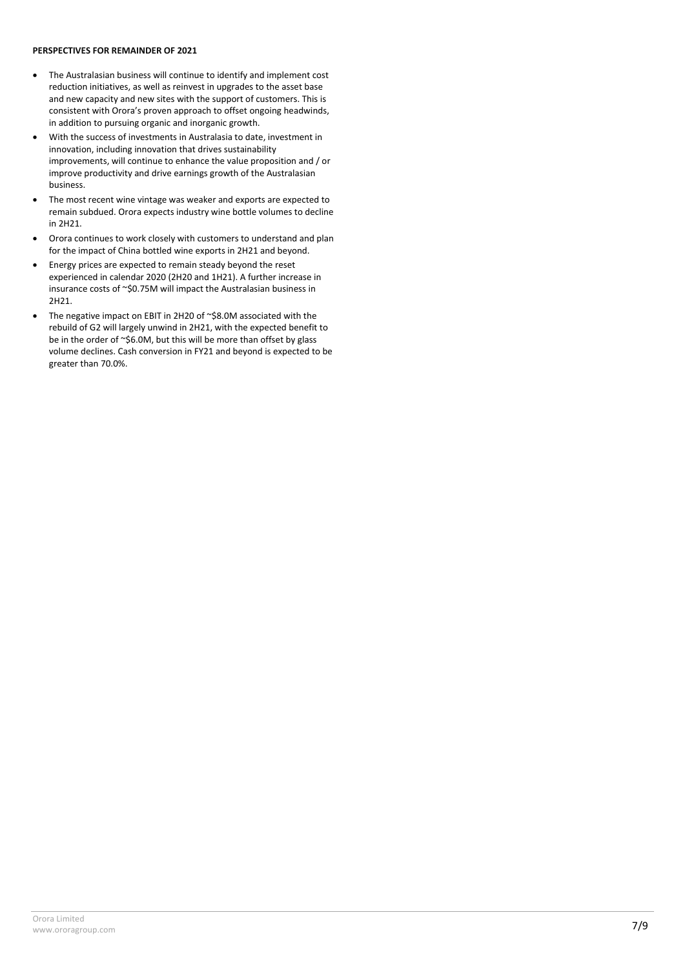#### **PERSPECTIVES FOR REMAINDER OF 2021**

- The Australasian business will continue to identify and implement cost reduction initiatives, as well as reinvest in upgrades to the asset base and new capacity and new sites with the support of customers. This is consistent with Orora's proven approach to offset ongoing headwinds, in addition to pursuing organic and inorganic growth.
- With the success of investments in Australasia to date, investment in innovation, including innovation that drives sustainability improvements, will continue to enhance the value proposition and / or improve productivity and drive earnings growth of the Australasian business.
- The most recent wine vintage was weaker and exports are expected to remain subdued. Orora expects industry wine bottle volumes to decline in 2H21.
- Orora continues to work closely with customers to understand and plan for the impact of China bottled wine exports in 2H21 and beyond.
- Energy prices are expected to remain steady beyond the reset experienced in calendar 2020 (2H20 and 1H21). A further increase in insurance costs of ~\$0.75M will impact the Australasian business in 2H21.
- The negative impact on EBIT in 2H20 of ~\$8.0M associated with the rebuild of G2 will largely unwind in 2H21, with the expected benefit to be in the order of ~\$6.0M, but this will be more than offset by glass volume declines. Cash conversion in FY21 and beyond is expected to be greater than 70.0%.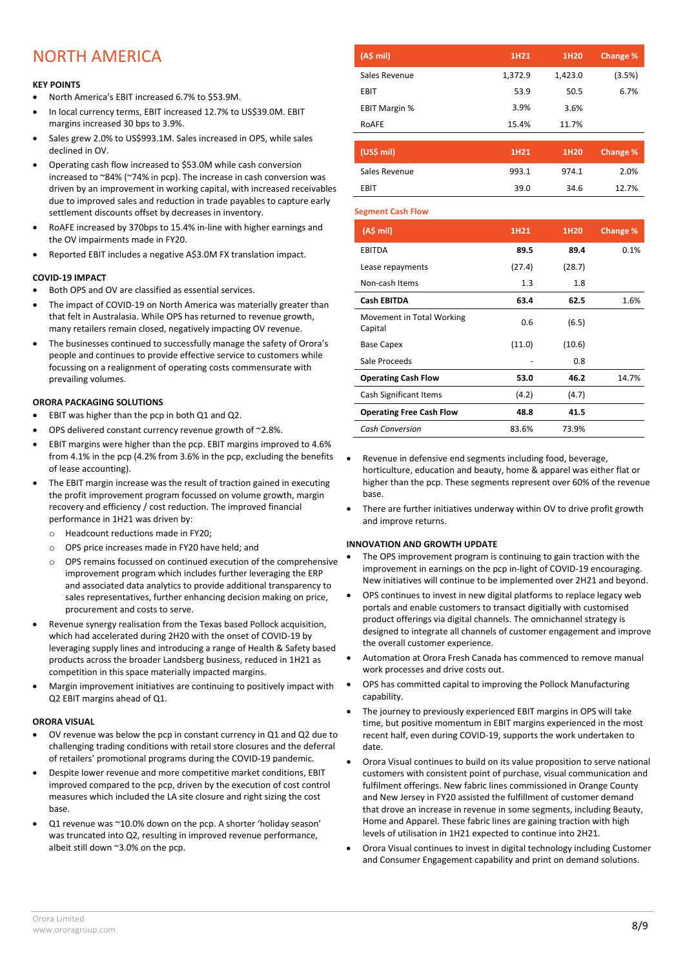## NORTH AMERICA

#### **KEY POINTS**

- North America's EBIT increased 6.7% to \$53.9M.
- In local currency terms, EBIT increased 12.7% to US\$39.0M. EBIT margins increased 30 bps to 3.9%.
- Sales grew 2.0% to US\$993.1M. Sales increased in OPS, while sales declined in OV.
- Operating cash flow increased to \$53.0M while cash conversion increased to ~84% (~74% in pcp). The increase in cash conversion was driven by an improvement in working capital, with increased receivables due to improved sales and reduction in trade payables to capture early settlement discounts offset by decreases in inventory.
- RoAFE increased by 370bps to 15.4% in-line with higher earnings and the OV impairments made in FY20.
- Reported EBIT includes a negative A\$3.0M FX translation impact.

#### **COVID-19 IMPACT**

- Both OPS and OV are classified as essential services.
- The impact of COVID-19 on North America was materially greater than that felt in Australasia. While OPS has returned to revenue growth, many retailers remain closed, negatively impacting OV revenue.
- The businesses continued to successfully manage the safety of Orora's people and continues to provide effective service to customers while focussing on a realignment of operating costs commensurate with prevailing volumes.

#### **ORORA PACKAGING SOLUTIONS**

- EBIT was higher than the pcp in both Q1 and Q2.
- OPS delivered constant currency revenue growth of ~2.8%.
- EBIT margins were higher than the pcp. EBIT margins improved to 4.6% from 4.1% in the pcp (4.2% from 3.6% in the pcp, excluding the benefits of lease accounting).
- The EBIT margin increase was the result of traction gained in executing the profit improvement program focussed on volume growth, margin recovery and efficiency / cost reduction. The improved financial performance in 1H21 was driven by:
	- o Headcount reductions made in FY20;
	- o OPS price increases made in FY20 have held; and
	- o OPS remains focussed on continued execution of the comprehensive improvement program which includes further leveraging the ERP and associated data analytics to provide additional transparency to sales representatives, further enhancing decision making on price, procurement and costs to serve.
- Revenue synergy realisation from the Texas based Pollock acquisition, which had accelerated during 2H20 with the onset of COVID-19 by leveraging supply lines and introducing a range of Health & Safety based products across the broader Landsberg business, reduced in 1H21 as competition in this space materially impacted margins.
- Margin improvement initiatives are continuing to positively impact with Q2 EBIT margins ahead of Q1.

#### **ORORA VISUAL**

- OV revenue was below the pcp in constant currency in Q1 and Q2 due to challenging trading conditions with retail store closures and the deferral of retailers' promotional programs during the COVID-19 pandemic.
- Despite lower revenue and more competitive market conditions, EBIT improved compared to the pcp, driven by the execution of cost control measures which included the LA site closure and right sizing the cost base.
- Q1 revenue was ~10.0% down on the pcp. A shorter 'holiday season' was truncated into Q2, resulting in improved revenue performance, albeit still down ~3.0% on the pcp.

| (A\$ mi)             | 1H21    | 1H20    | Change % |
|----------------------|---------|---------|----------|
| Sales Revenue        | 1,372.9 | 1,423.0 | (3.5%)   |
| <b>EBIT</b>          | 53.9    | 50.5    | 6.7%     |
| <b>EBIT Margin %</b> | 3.9%    | 3.6%    |          |
| ROAFE                | 15.4%   | 11.7%   |          |

| (US\$ mi)     | 1H <sub>21</sub> | 1H <sub>20</sub> | Change % |
|---------------|------------------|------------------|----------|
| Sales Revenue | 993.1            | 974.1            | 2.0%     |
| <b>FRIT</b>   | 39.0             | 34.6             | 12.7%    |

#### **Segment Cash Flow**

| $(A5 \text{ mil})$                   | 1H21   | 1H20   | <b>Change %</b> |
|--------------------------------------|--------|--------|-----------------|
| <b>EBITDA</b>                        | 89.5   | 89.4   | 0.1%            |
| Lease repayments                     | (27.4) | (28.7) |                 |
| Non-cash Items                       | 1.3    | 1.8    |                 |
| Cash EBITDA                          | 63.4   | 62.5   | 1.6%            |
| Movement in Total Working<br>Capital | 0.6    | (6.5)  |                 |
| <b>Base Capex</b>                    | (11.0) | (10.6) |                 |
| Sale Proceeds                        |        | 0.8    |                 |
| <b>Operating Cash Flow</b>           | 53.0   | 46.2   | 14.7%           |
| Cash Significant Items               | (4.2)  | (4.7)  |                 |
| <b>Operating Free Cash Flow</b>      | 48.8   | 41.5   |                 |
| <b>Cash Conversion</b>               | 83.6%  | 73.9%  |                 |

- Revenue in defensive end segments including food, beverage, horticulture, education and beauty, home & apparel was either flat or higher than the pcp. These segments represent over 60% of the revenue base.
- There are further initiatives underway within OV to drive profit growth and improve returns.

#### **INNOVATION AND GROWTH UPDATE**

- The OPS improvement program is continuing to gain traction with the improvement in earnings on the pcp in-light of COVID-19 encouraging. New initiatives will continue to be implemented over 2H21 and beyond.
- OPS continues to invest in new digital platforms to replace legacy web portals and enable customers to transact digitially with customised product offerings via digital channels. The omnichannel strategy is designed to integrate all channels of customer engagement and improve the overall customer experience.
- Automation at Orora Fresh Canada has commenced to remove manual work processes and drive costs out.
- OPS has committed capital to improving the Pollock Manufacturing capability.
- The journey to previously experienced EBIT margins in OPS will take time, but positive momentum in EBIT margins experienced in the most recent half, even during COVID-19, supports the work undertaken to date.
- Orora Visual continues to build on its value proposition to serve national customers with consistent point of purchase, visual communication and fulfilment offerings. New fabric lines commissioned in Orange County and New Jersey in FY20 assisted the fulfillment of customer demand that drove an increase in revenue in some segments, including Beauty, Home and Apparel. These fabric lines are gaining traction with high levels of utilisation in 1H21 expected to continue into 2H21.
- Orora Visual continues to invest in digital technology including Customer and Consumer Engagement capability and print on demand solutions.